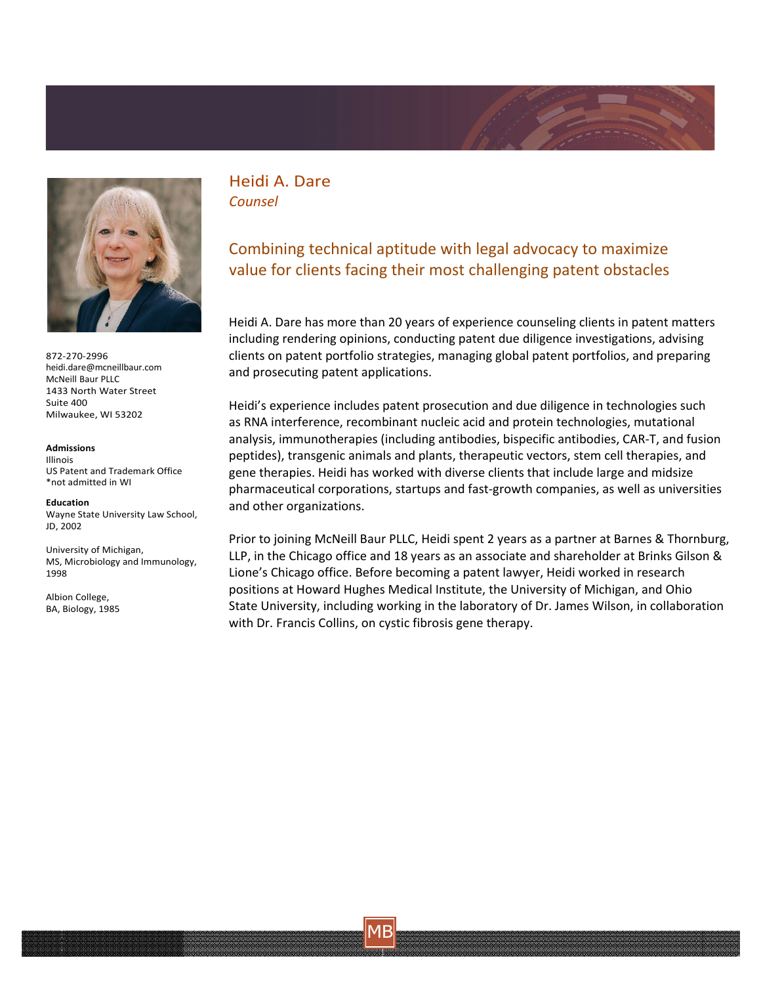



872-270-2996 heidi.dare@mcneillbaur.com McNeill Baur PLLC 1433 North Water Street Suite 400 Milwaukee, WI 53202

## **Admissions**

Illinois US Patent and Trademark Office \*not admitted in WI

**Education** Wayne State University Law School, JD, 2002

University of Michigan, MS, Microbiology and Immunology, 1998

Albion College, BA, Biology, 1985 Heidi A. Dare *Counsel*

## Combining technical aptitude with legal advocacy to maximize value for clients facing their most challenging patent obstacles

Heidi A. Dare has more than 20 years of experience counseling clients in patent matters including rendering opinions, conducting patent due diligence investigations, advising clients on patent portfolio strategies, managing global patent portfolios, and preparing and prosecuting patent applications.

Heidi's experience includes patent prosecution and due diligence in technologies such as RNA interference, recombinant nucleic acid and protein technologies, mutational analysis, immunotherapies (including antibodies, bispecific antibodies, CAR-T, and fusion peptides), transgenic animals and plants, therapeutic vectors, stem cell therapies, and gene therapies. Heidi has worked with diverse clients that include large and midsize pharmaceutical corporations, startups and fast-growth companies, as well as universities and other organizations.

Prior to joining McNeill Baur PLLC, Heidi spent 2 years as a partner at Barnes & Thornburg, LLP, in the Chicago office and 18 years as an associate and shareholder at Brinks Gilson & Lione's Chicago office. Before becoming a patent lawyer, Heidi worked in research positions at Howard Hughes Medical Institute, the University of Michigan, and Ohio State University, including working in the laboratory of Dr. James Wilson, in collaboration with Dr. Francis Collins, on cystic fibrosis gene therapy.